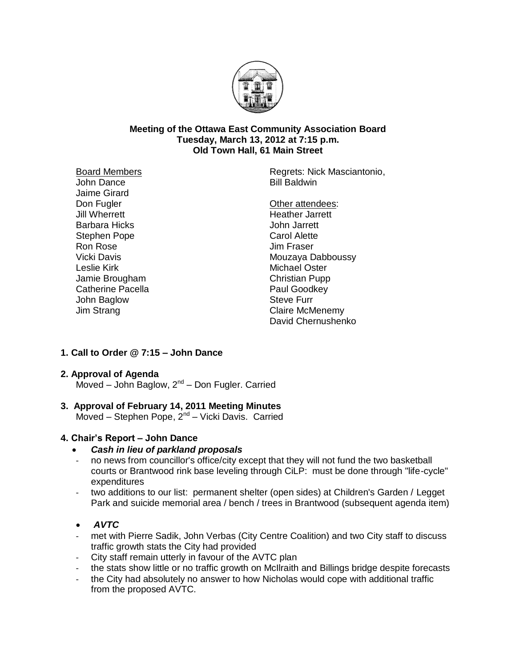

#### **Meeting of the Ottawa East Community Association Board Tuesday, March 13, 2012 at 7:15 p.m. Old Town Hall, 61 Main Street**

Board Members John Dance Jaime Girard Don Fugler Jill Wherrett Barbara Hicks Stephen Pope Ron Rose Vicki Davis Leslie Kirk Jamie Brougham Catherine Pacella John Baglow Jim Strang

Regrets: Nick Masciantonio, Bill Baldwin

Other attendees: Heather Jarrett John Jarrett Carol Alette Jim Fraser Mouzaya Dabboussy Michael Oster Christian Pupp Paul Goodkey Steve Furr Claire McMenemy David Chernushenko

# **1. Call to Order @ 7:15 – John Dance**

# **2. Approval of Agenda**

Moved - John Baglow, 2<sup>nd</sup> - Don Fugler. Carried

# **3. Approval of February 14, 2011 Meeting Minutes**

Moved - Stephen Pope, 2<sup>nd</sup> - Vicki Davis. Carried

# **4. Chair's Report – John Dance**

- *Cash in lieu of parkland proposals*
- no news from councillor's office/city except that they will not fund the two basketball courts or Brantwood rink base leveling through CiLP: must be done through "life-cycle" expenditures
- two additions to our list: permanent shelter (open sides) at Children's Garden / Legget Park and suicide memorial area / bench / trees in Brantwood (subsequent agenda item)

# *AVTC*

- met with Pierre Sadik, John Verbas (City Centre Coalition) and two City staff to discuss traffic growth stats the City had provided
- City staff remain utterly in favour of the AVTC plan
- the stats show little or no traffic growth on McIlraith and Billings bridge despite forecasts
- the City had absolutely no answer to how Nicholas would cope with additional traffic from the proposed AVTC.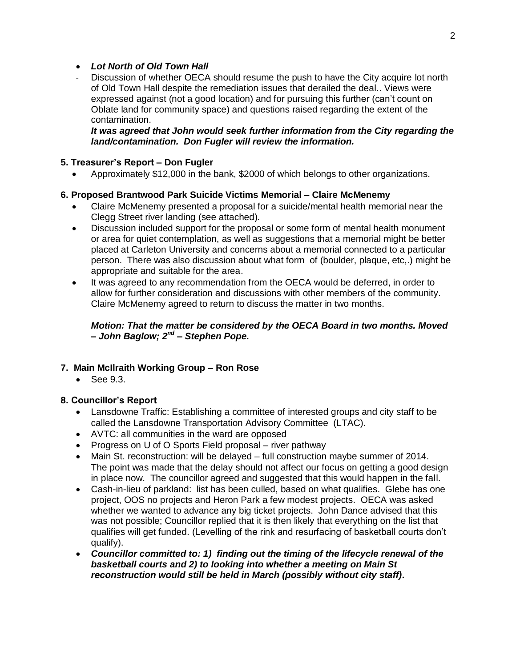# *Lot North of Old Town Hall*

Discussion of whether OECA should resume the push to have the City acquire lot north of Old Town Hall despite the remediation issues that derailed the deal.. Views were expressed against (not a good location) and for pursuing this further (can't count on Oblate land for community space) and questions raised regarding the extent of the contamination.

*It was agreed that John would seek further information from the City regarding the land/contamination. Don Fugler will review the information.*

# **5. Treasurer's Report – Don Fugler**

Approximately \$12,000 in the bank, \$2000 of which belongs to other organizations.

### **6. Proposed Brantwood Park Suicide Victims Memorial – Claire McMenemy**

- Claire McMenemy presented a proposal for a suicide/mental health memorial near the Clegg Street river landing (see attached).
- Discussion included support for the proposal or some form of mental health monument or area for quiet contemplation, as well as suggestions that a memorial might be better placed at Carleton University and concerns about a memorial connected to a particular person. There was also discussion about what form of (boulder, plaque, etc,.) might be appropriate and suitable for the area.
- It was agreed to any recommendation from the OECA would be deferred, in order to allow for further consideration and discussions with other members of the community. Claire McMenemy agreed to return to discuss the matter in two months.

### *Motion: That the matter be considered by the OECA Board in two months. Moved – John Baglow; 2nd – Stephen Pope.*

# **7. Main McIlraith Working Group – Ron Rose**

• See 9.3.

# **8. Councillor's Report**

- Lansdowne Traffic: Establishing a committee of interested groups and city staff to be called the Lansdowne Transportation Advisory Committee (LTAC).
- AVTC: all communities in the ward are opposed
- Progress on U of O Sports Field proposal river pathway
- Main St. reconstruction: will be delayed full construction maybe summer of 2014. The point was made that the delay should not affect our focus on getting a good design in place now. The councillor agreed and suggested that this would happen in the fall.
- Cash-in-lieu of parkland: list has been culled, based on what qualifies. Glebe has one project, OOS no projects and Heron Park a few modest projects. OECA was asked whether we wanted to advance any big ticket projects. John Dance advised that this was not possible; Councillor replied that it is then likely that everything on the list that qualifies will get funded. (Levelling of the rink and resurfacing of basketball courts don't qualify).
- *Councillor committed to: 1) finding out the timing of the lifecycle renewal of the basketball courts and 2) to looking into whether a meeting on Main St reconstruction would still be held in March (possibly without city staff).*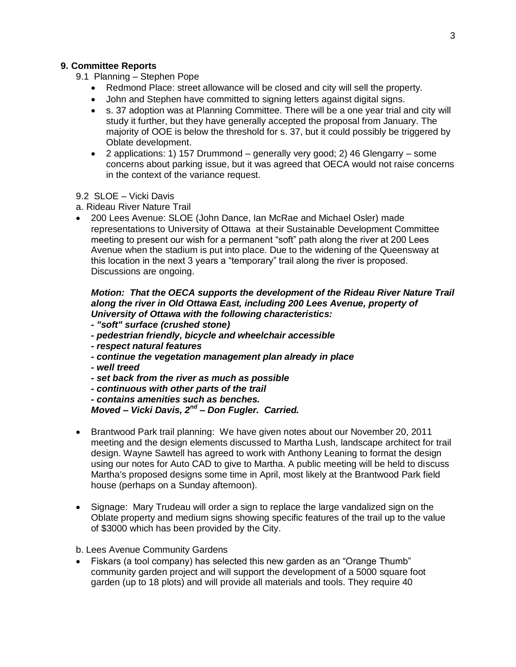#### **9. Committee Reports**

- 9.1 Planning Stephen Pope
	- Redmond Place: street allowance will be closed and city will sell the property.
	- John and Stephen have committed to signing letters against digital signs.
	- s. 37 adoption was at Planning Committee. There will be a one year trial and city will study it further, but they have generally accepted the proposal from January. The majority of OOE is below the threshold for s. 37, but it could possibly be triggered by Oblate development.
	- 2 applications: 1) 157 Drummond generally very good; 2) 46 Glengarry some concerns about parking issue, but it was agreed that OECA would not raise concerns in the context of the variance request.
- 9.2 SLOE Vicki Davis
- a. Rideau River Nature Trail
- 200 Lees Avenue: SLOE (John Dance, Ian McRae and Michael Osler) made representations to University of Ottawa at their Sustainable Development Committee meeting to present our wish for a permanent "soft" path along the river at 200 Lees Avenue when the stadium is put into place. Due to the widening of the Queensway at this location in the next 3 years a "temporary" trail along the river is proposed. Discussions are ongoing.

### *Motion: That the OECA supports the development of the Rideau River Nature Trail along the river in Old Ottawa East, including 200 Lees Avenue, property of University of Ottawa with the following characteristics:*

- *- "soft" surface (crushed stone)*
- *- pedestrian friendly, bicycle and wheelchair accessible*
- *- respect natural features*
- *- continue the vegetation management plan already in place*
- *- well treed*
- *- set back from the river as much as possible*

*- continuous with other parts of the trail*

*- contains amenities such as benches. Moved – Vicki Davis, 2nd – Don Fugler. Carried.*

- Brantwood Park trail planning: We have given notes about our November 20, 2011 meeting and the design elements discussed to Martha Lush, landscape architect for trail design. Wayne Sawtell has agreed to work with Anthony Leaning to format the design using our notes for Auto CAD to give to Martha. A public meeting will be held to discuss Martha's proposed designs some time in April, most likely at the Brantwood Park field house (perhaps on a Sunday afternoon).
- Signage: Mary Trudeau will order a sign to replace the large vandalized sign on the Oblate property and medium signs showing specific features of the trail up to the value of \$3000 which has been provided by the City.
- b. Lees Avenue Community Gardens
- Fiskars (a tool company) has selected this new garden as an "Orange Thumb" community garden project and will support the development of a 5000 square foot garden (up to 18 plots) and will provide all materials and tools. They require 40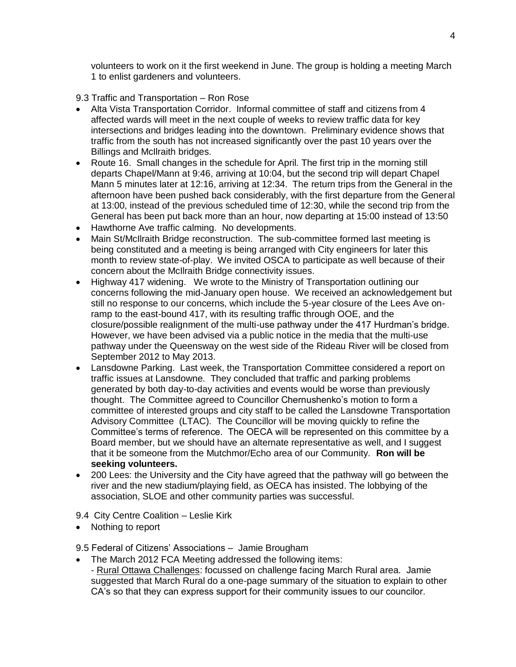volunteers to work on it the first weekend in June. The group is holding a meeting March 1 to enlist gardeners and volunteers.

9.3 Traffic and Transportation – Ron Rose

- Alta Vista Transportation Corridor. Informal committee of staff and citizens from 4 affected wards will meet in the next couple of weeks to review traffic data for key intersections and bridges leading into the downtown. Preliminary evidence shows that traffic from the south has not increased significantly over the past 10 years over the Billings and McIlraith bridges.
- Route 16. Small changes in the schedule for April. The first trip in the morning still departs Chapel/Mann at 9:46, arriving at 10:04, but the second trip will depart Chapel Mann 5 minutes later at 12:16, arriving at 12:34. The return trips from the General in the afternoon have been pushed back considerably, with the first departure from the General at 13:00, instead of the previous scheduled time of 12:30, while the second trip from the General has been put back more than an hour, now departing at 15:00 instead of 13:50
- Hawthorne Ave traffic calming. No developments.
- Main St/McIlraith Bridge reconstruction. The sub-committee formed last meeting is being constituted and a meeting is being arranged with City engineers for later this month to review state-of-play. We invited OSCA to participate as well because of their concern about the McIlraith Bridge connectivity issues.
- Highway 417 widening. We wrote to the Ministry of Transportation outlining our concerns following the mid-January open house. We received an acknowledgement but still no response to our concerns, which include the 5-year closure of the Lees Ave onramp to the east-bound 417, with its resulting traffic through OOE, and the closure/possible realignment of the multi-use pathway under the 417 Hurdman's bridge. However, we have been advised via a public notice in the media that the multi-use pathway under the Queensway on the west side of the Rideau River will be closed from September 2012 to May 2013.
- Lansdowne Parking. Last week, the Transportation Committee considered a report on traffic issues at Lansdowne. They concluded that traffic and parking problems generated by both day-to-day activities and events would be worse than previously thought. The Committee agreed to Councillor Chernushenko's motion to form a committee of interested groups and city staff to be called the Lansdowne Transportation Advisory Committee (LTAC). The Councillor will be moving quickly to refine the Committee's terms of reference. The OECA will be represented on this committee by a Board member, but we should have an alternate representative as well, and I suggest that it be someone from the Mutchmor/Echo area of our Community. **Ron will be seeking volunteers.**
- 200 Lees: the University and the City have agreed that the pathway will go between the river and the new stadium/playing field, as OECA has insisted. The lobbying of the association, SLOE and other community parties was successful.

9.4 City Centre Coalition – Leslie Kirk

• Nothing to report

9.5 Federal of Citizens' Associations – Jamie Brougham

 The March 2012 FCA Meeting addressed the following items: - Rural Ottawa Challenges: focussed on challenge facing March Rural area. Jamie suggested that March Rural do a one-page summary of the situation to explain to other CA's so that they can express support for their community issues to our councilor.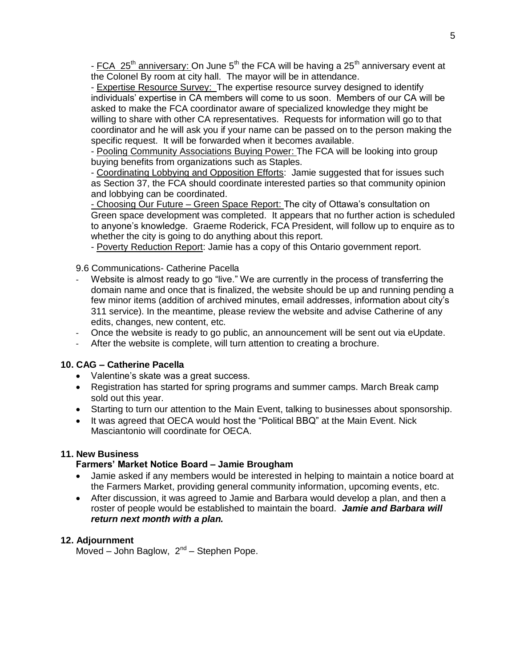- FCA 25<sup>th</sup> anniversary: On June 5<sup>th</sup> the FCA will be having a 25<sup>th</sup> anniversary event at the Colonel By room at city hall. The mayor will be in attendance.

- Expertise Resource Survey: The expertise resource survey designed to identify individuals' expertise in CA members will come to us soon. Members of our CA will be asked to make the FCA coordinator aware of specialized knowledge they might be willing to share with other CA representatives. Requests for information will go to that coordinator and he will ask you if your name can be passed on to the person making the specific request. It will be forwarded when it becomes available.

- Pooling Community Associations Buying Power: The FCA will be looking into group buying benefits from organizations such as Staples.

- Coordinating Lobbying and Opposition Efforts: Jamie suggested that for issues such as Section 37, the FCA should coordinate interested parties so that community opinion and lobbying can be coordinated.

- Choosing Our Future – Green Space Report: The city of Ottawa's consultation on Green space development was completed. It appears that no further action is scheduled to anyone's knowledge. Graeme Roderick, FCA President, will follow up to enquire as to whether the city is going to do anything about this report.

- Poverty Reduction Report: Jamie has a copy of this Ontario government report.

9.6 Communications- Catherine Pacella

- Website is almost ready to go "live." We are currently in the process of transferring the domain name and once that is finalized, the website should be up and running pending a few minor items (addition of archived minutes, email addresses, information about city's 311 service). In the meantime, please review the website and advise Catherine of any edits, changes, new content, etc.
- Once the website is ready to go public, an announcement will be sent out via eUpdate.
- After the website is complete, will turn attention to creating a brochure.

### **10. CAG – Catherine Pacella**

- Valentine's skate was a great success.
- Registration has started for spring programs and summer camps. March Break camp sold out this year.
- Starting to turn our attention to the Main Event, talking to businesses about sponsorship.
- It was agreed that OECA would host the "Political BBQ" at the Main Event. Nick Masciantonio will coordinate for OECA.

#### **11. New Business**

# **Farmers' Market Notice Board – Jamie Brougham**

- Jamie asked if any members would be interested in helping to maintain a notice board at the Farmers Market, providing general community information, upcoming events, etc.
- After discussion, it was agreed to Jamie and Barbara would develop a plan, and then a roster of people would be established to maintain the board. *Jamie and Barbara will return next month with a plan.*

#### **12. Adjournment**

Moved - John Baglow, 2<sup>nd</sup> - Stephen Pope.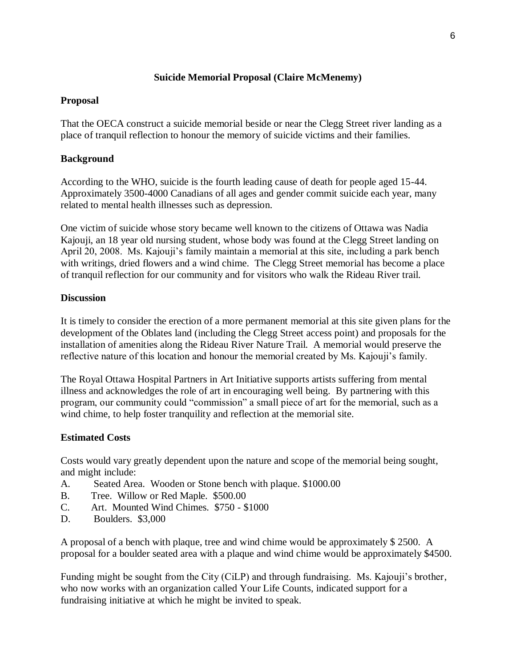# **Suicide Memorial Proposal (Claire McMenemy)**

### **Proposal**

That the OECA construct a suicide memorial beside or near the Clegg Street river landing as a place of tranquil reflection to honour the memory of suicide victims and their families.

# **Background**

According to the WHO, suicide is the fourth leading cause of death for people aged 15-44. Approximately 3500-4000 Canadians of all ages and gender commit suicide each year, many related to mental health illnesses such as depression.

One victim of suicide whose story became well known to the citizens of Ottawa was Nadia Kajouji, an 18 year old nursing student, whose body was found at the Clegg Street landing on April 20, 2008. Ms. Kajouji's family maintain a memorial at this site, including a park bench with writings, dried flowers and a wind chime. The Clegg Street memorial has become a place of tranquil reflection for our community and for visitors who walk the Rideau River trail.

#### **Discussion**

It is timely to consider the erection of a more permanent memorial at this site given plans for the development of the Oblates land (including the Clegg Street access point) and proposals for the installation of amenities along the Rideau River Nature Trail. A memorial would preserve the reflective nature of this location and honour the memorial created by Ms. Kajouji's family.

The Royal Ottawa Hospital Partners in Art Initiative supports artists suffering from mental illness and acknowledges the role of art in encouraging well being. By partnering with this program, our community could "commission" a small piece of art for the memorial, such as a wind chime, to help foster tranquility and reflection at the memorial site.

# **Estimated Costs**

Costs would vary greatly dependent upon the nature and scope of the memorial being sought, and might include:

- A. Seated Area. Wooden or Stone bench with plaque. \$1000.00
- B. Tree. Willow or Red Maple. \$500.00
- C. Art. Mounted Wind Chimes. \$750 \$1000
- D. Boulders. \$3,000

A proposal of a bench with plaque, tree and wind chime would be approximately \$ 2500. A proposal for a boulder seated area with a plaque and wind chime would be approximately \$4500.

Funding might be sought from the City (CiLP) and through fundraising. Ms. Kajouji's brother, who now works with an organization called Your Life Counts, indicated support for a fundraising initiative at which he might be invited to speak.